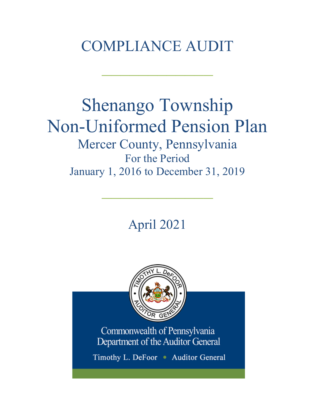# COMPLIANCE AUDIT

 $\frac{1}{2}$ 

# Shenango Township Non-Uniformed Pension Plan Mercer County, Pennsylvania For the Period January 1, 2016 to December 31, 2019

April 2021

 $\frac{1}{2}$ 



Commonwealth of Pennsylvania Department of the Auditor General

Timothy L. DeFoor • Auditor General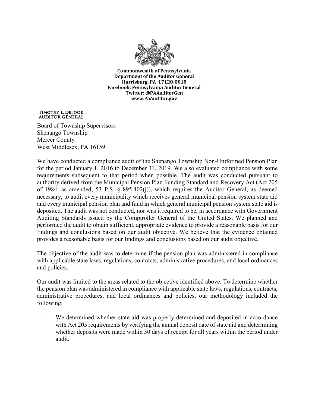

**Commonwealth of Pennsylvania** Department of the Auditor General Harrisburg, PA 17120-0018 Facebook: Pennsylvania Auditor General Twitter: @PAAuditorGen www.PaAuditor.gov

TIMOTHY L. DEFOOR **AUDITOR GENERAL** 

Board of Township Supervisors Shenango Township Mercer County West Middlesex, PA 16159

We have conducted a compliance audit of the Shenango Township Non-Uniformed Pension Plan for the period January 1, 2016 to December 31, 2019. We also evaluated compliance with some requirements subsequent to that period when possible. The audit was conducted pursuant to authority derived from the Municipal Pension Plan Funding Standard and Recovery Act (Act 205 of 1984, as amended, 53 P.S. § 895.402(j)), which requires the Auditor General, as deemed necessary, to audit every municipality which receives general municipal pension system state aid and every municipal pension plan and fund in which general municipal pension system state aid is deposited. The audit was not conducted, nor was it required to be, in accordance with Government Auditing Standards issued by the Comptroller General of the United States. We planned and performed the audit to obtain sufficient, appropriate evidence to provide a reasonable basis for our findings and conclusions based on our audit objective. We believe that the evidence obtained provides a reasonable basis for our findings and conclusions based on our audit objective.

The objective of the audit was to determine if the pension plan was administered in compliance with applicable state laws, regulations, contracts, administrative procedures, and local ordinances and policies.

Our audit was limited to the areas related to the objective identified above. To determine whether the pension plan was administered in compliance with applicable state laws, regulations, contracts, administrative procedures, and local ordinances and policies, our methodology included the following:

We determined whether state aid was properly determined and deposited in accordance with Act 205 requirements by verifying the annual deposit date of state aid and determining whether deposits were made within 30 days of receipt for all years within the period under audit.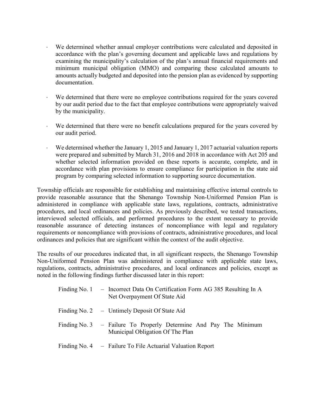- ⋅ We determined whether annual employer contributions were calculated and deposited in accordance with the plan's governing document and applicable laws and regulations by examining the municipality's calculation of the plan's annual financial requirements and minimum municipal obligation (MMO) and comparing these calculated amounts to amounts actually budgeted and deposited into the pension plan as evidenced by supporting documentation.
- We determined that there were no employee contributions required for the years covered by our audit period due to the fact that employee contributions were appropriately waived by the municipality.
- We determined that there were no benefit calculations prepared for the years covered by our audit period.
- We determined whether the January 1, 2015 and January 1, 2017 actuarial valuation reports were prepared and submitted by March 31, 2016 and 2018 in accordance with Act 205 and whether selected information provided on these reports is accurate, complete, and in accordance with plan provisions to ensure compliance for participation in the state aid program by comparing selected information to supporting source documentation.

Township officials are responsible for establishing and maintaining effective internal controls to provide reasonable assurance that the Shenango Township Non-Uniformed Pension Plan is administered in compliance with applicable state laws, regulations, contracts, administrative procedures, and local ordinances and policies. As previously described, we tested transactions, interviewed selected officials, and performed procedures to the extent necessary to provide reasonable assurance of detecting instances of noncompliance with legal and regulatory requirements or noncompliance with provisions of contracts, administrative procedures, and local ordinances and policies that are significant within the context of the audit objective.

The results of our procedures indicated that, in all significant respects, the Shenango Township Non-Uniformed Pension Plan was administered in compliance with applicable state laws, regulations, contracts, administrative procedures, and local ordinances and policies, except as noted in the following findings further discussed later in this report:

| Finding No. 1 - Incorrect Data On Certification Form AG 385 Resulting In A<br>Net Overpayment Of State Aid |  |
|------------------------------------------------------------------------------------------------------------|--|
| Finding No. 2 – Untimely Deposit Of State Aid                                                              |  |
| Finding No. 3 – Failure To Properly Determine And Pay The Minimum<br>Municipal Obligation Of The Plan      |  |
| Finding No. $4 -$ Failure To File Actuarial Valuation Report                                               |  |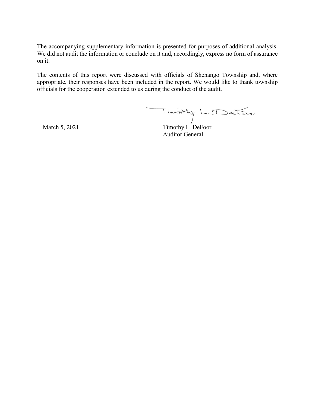The accompanying supplementary information is presented for purposes of additional analysis. We did not audit the information or conclude on it and, accordingly, express no form of assurance on it.

The contents of this report were discussed with officials of Shenango Township and, where appropriate, their responses have been included in the report. We would like to thank township officials for the cooperation extended to us during the conduct of the audit.

 $\begin{array}{c} \hline \end{array}$  March 5, 2021 Timothy L. DeFoor

Auditor General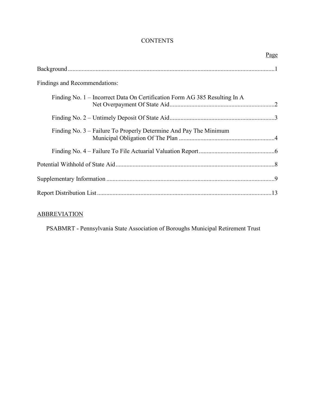## **CONTENTS**

| Page                                                                       |
|----------------------------------------------------------------------------|
|                                                                            |
| Findings and Recommendations:                                              |
| Finding No. 1 – Incorrect Data On Certification Form AG 385 Resulting In A |
|                                                                            |
| Finding No. 3 – Failure To Properly Determine And Pay The Minimum          |
|                                                                            |
|                                                                            |
|                                                                            |
|                                                                            |

## **ABBREVIATION**

PSABMRT - Pennsylvania State Association of Boroughs Municipal Retirement Trust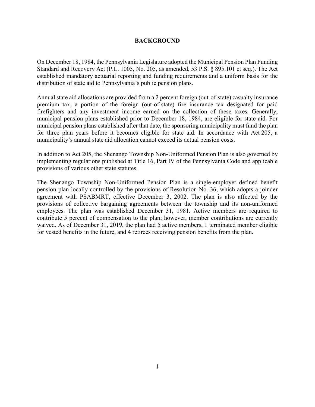#### **BACKGROUND**

On December 18, 1984, the Pennsylvania Legislature adopted the Municipal Pension Plan Funding Standard and Recovery Act (P.L. 1005, No. 205, as amended, 53 P.S. § 895.101 et seq.). The Act established mandatory actuarial reporting and funding requirements and a uniform basis for the distribution of state aid to Pennsylvania's public pension plans.

Annual state aid allocations are provided from a 2 percent foreign (out-of-state) casualty insurance premium tax, a portion of the foreign (out-of-state) fire insurance tax designated for paid firefighters and any investment income earned on the collection of these taxes. Generally, municipal pension plans established prior to December 18, 1984, are eligible for state aid. For municipal pension plans established after that date, the sponsoring municipality must fund the plan for three plan years before it becomes eligible for state aid. In accordance with Act 205, a municipality's annual state aid allocation cannot exceed its actual pension costs.

In addition to Act 205, the Shenango Township Non-Uniformed Pension Plan is also governed by implementing regulations published at Title 16, Part IV of the Pennsylvania Code and applicable provisions of various other state statutes.

The Shenango Township Non-Uniformed Pension Plan is a single-employer defined benefit pension plan locally controlled by the provisions of Resolution No. 36, which adopts a joinder agreement with PSABMRT, effective December 3, 2002. The plan is also affected by the provisions of collective bargaining agreements between the township and its non-uniformed employees. The plan was established December 31, 1981. Active members are required to contribute 5 percent of compensation to the plan; however, member contributions are currently waived. As of December 31, 2019, the plan had 5 active members, 1 terminated member eligible for vested benefits in the future, and 4 retirees receiving pension benefits from the plan.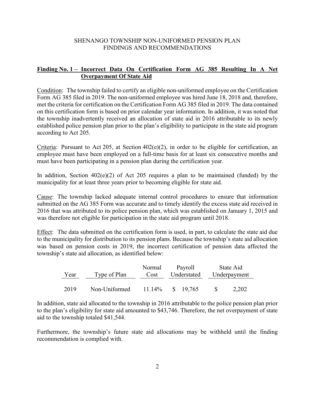## **Finding No. 1 – Incorrect Data On Certification Form AG 385 Resulting In A Net Overpayment Of State Aid**

Condition: The township failed to certify an eligible non-uniformed employee on the Certification Form AG 385 filed in 2019. The non-uniformed employee was hired June 18, 2018 and, therefore, met the criteria for certification on the Certification Form AG 385 filed in 2019. The data contained on this certification form is based on prior calendar year information. In addition, it was noted that the township inadvertently received an allocation of state aid in 2016 attributable to its newly established police pension plan prior to the plan's eligibility to participate in the state aid program according to Act 205.

Criteria: Pursuant to Act 205, at Section  $402(e)(2)$ , in order to be eligible for certification, an employee must have been employed on a full-time basis for at least six consecutive months and must have been participating in a pension plan during the certification year.

In addition, Section  $402(e)(2)$  of Act 205 requires a plan to be maintained (funded) by the municipality for at least three years prior to becoming eligible for state aid.

Cause: The township lacked adequate internal control procedures to ensure that information submitted on the AG 385 Form was accurate and to timely identify the excess state aid received in 2016 that was attributed to its police pension plan, which was established on January 1, 2015 and was therefore not eligible for participation in the state aid program until 2018.

Effect: The data submitted on the certification form is used, in part, to calculate the state aid due to the municipality for distribution to its pension plans. Because the township's state aid allocation was based on pension costs in 2019, the incorrect certification of pension data affected the township's state aid allocation, as identified below:

| Year | Type of Plan  | Normal<br>Cost | Payroll<br>Understated | State Aid<br>Underpayment |
|------|---------------|----------------|------------------------|---------------------------|
| 2019 | Non-Uniformed | $11.14\%$      | \$ 19.765              | 2,202                     |

In addition, state aid allocated to the township in 2016 attributable to the police pension plan prior to the plan's eligibility for state aid amounted to \$43,746. Therefore, the net overpayment of state aid to the township totaled \$41,544.

Furthermore, the township's future state aid allocations may be withheld until the finding recommendation is complied with.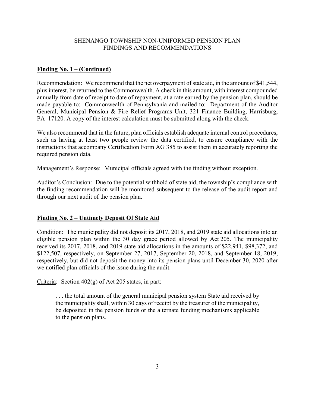#### **Finding No. 1 – (Continued)**

Recommendation: We recommend that the net overpayment of state aid, in the amount of \$41,544, plus interest, be returned to the Commonwealth. A check in this amount, with interest compounded annually from date of receipt to date of repayment, at a rate earned by the pension plan, should be made payable to: Commonwealth of Pennsylvania and mailed to: Department of the Auditor General, Municipal Pension & Fire Relief Programs Unit, 321 Finance Building, Harrisburg, PA 17120. A copy of the interest calculation must be submitted along with the check.

We also recommend that in the future, plan officials establish adequate internal control procedures, such as having at least two people review the data certified, to ensure compliance with the instructions that accompany Certification Form AG 385 to assist them in accurately reporting the required pension data.

Management's Response: Municipal officials agreed with the finding without exception.

Auditor's Conclusion: Due to the potential withhold of state aid, the township's compliance with the finding recommendation will be monitored subsequent to the release of the audit report and through our next audit of the pension plan.

#### **Finding No. 2 – Untimely Deposit Of State Aid**

Condition: The municipality did not deposit its 2017, 2018, and 2019 state aid allocations into an eligible pension plan within the 30 day grace period allowed by Act 205. The municipality received its 2017, 2018, and 2019 state aid allocations in the amounts of \$22,941, \$98,372, and \$122,507, respectively, on September 27, 2017, September 20, 2018, and September 18, 2019, respectively, but did not deposit the money into its pension plans until December 30, 2020 after we notified plan officials of the issue during the audit.

Criteria: Section 402(g) of Act 205 states, in part:

. . . the total amount of the general municipal pension system State aid received by the municipality shall, within 30 days of receipt by the treasurer of the municipality, be deposited in the pension funds or the alternate funding mechanisms applicable to the pension plans.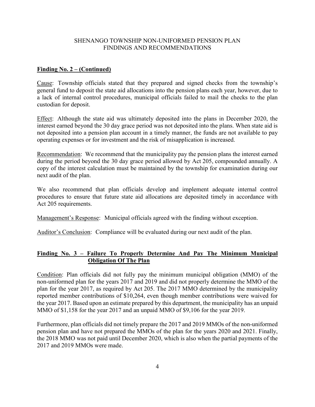#### **Finding No. 2 – (Continued)**

Cause: Township officials stated that they prepared and signed checks from the township's general fund to deposit the state aid allocations into the pension plans each year, however, due to a lack of internal control procedures, municipal officials failed to mail the checks to the plan custodian for deposit.

Effect: Although the state aid was ultimately deposited into the plans in December 2020, the interest earned beyond the 30 day grace period was not deposited into the plans. When state aid is not deposited into a pension plan account in a timely manner, the funds are not available to pay operating expenses or for investment and the risk of misapplication is increased.

Recommendation: We recommend that the municipality pay the pension plans the interest earned during the period beyond the 30 day grace period allowed by Act 205, compounded annually. A copy of the interest calculation must be maintained by the township for examination during our next audit of the plan.

We also recommend that plan officials develop and implement adequate internal control procedures to ensure that future state aid allocations are deposited timely in accordance with Act 205 requirements.

Management's Response: Municipal officials agreed with the finding without exception.

Auditor's Conclusion: Compliance will be evaluated during our next audit of the plan.

#### **Finding No. 3 – Failure To Properly Determine And Pay The Minimum Municipal Obligation Of The Plan**

Condition: Plan officials did not fully pay the minimum municipal obligation (MMO) of the non-uniformed plan for the years 2017 and 2019 and did not properly determine the MMO of the plan for the year 2017, as required by Act 205. The 2017 MMO determined by the municipality reported member contributions of \$10,264, even though member contributions were waived for the year 2017. Based upon an estimate prepared by this department, the municipality has an unpaid MMO of \$1,158 for the year 2017 and an unpaid MMO of \$9,106 for the year 2019.

Furthermore, plan officials did not timely prepare the 2017 and 2019 MMOs of the non-uniformed pension plan and have not prepared the MMOs of the plan for the years 2020 and 2021. Finally, the 2018 MMO was not paid until December 2020, which is also when the partial payments of the 2017 and 2019 MMOs were made.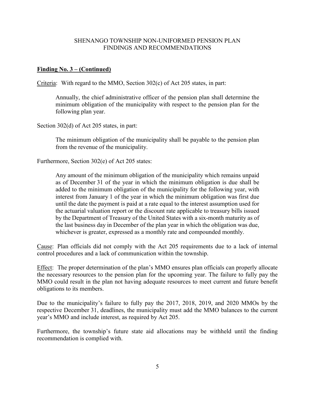#### **Finding No. 3 – (Continued)**

Criteria: With regard to the MMO, Section 302(c) of Act 205 states, in part:

Annually, the chief administrative officer of the pension plan shall determine the minimum obligation of the municipality with respect to the pension plan for the following plan year.

Section 302(d) of Act 205 states, in part:

The minimum obligation of the municipality shall be payable to the pension plan from the revenue of the municipality.

Furthermore, Section 302(e) of Act 205 states:

Any amount of the minimum obligation of the municipality which remains unpaid as of December 31 of the year in which the minimum obligation is due shall be added to the minimum obligation of the municipality for the following year, with interest from January 1 of the year in which the minimum obligation was first due until the date the payment is paid at a rate equal to the interest assumption used for the actuarial valuation report or the discount rate applicable to treasury bills issued by the Department of Treasury of the United States with a six-month maturity as of the last business day in December of the plan year in which the obligation was due, whichever is greater, expressed as a monthly rate and compounded monthly.

Cause: Plan officials did not comply with the Act 205 requirements due to a lack of internal control procedures and a lack of communication within the township.

Effect: The proper determination of the plan's MMO ensures plan officials can properly allocate the necessary resources to the pension plan for the upcoming year. The failure to fully pay the MMO could result in the plan not having adequate resources to meet current and future benefit obligations to its members.

Due to the municipality's failure to fully pay the 2017, 2018, 2019, and 2020 MMOs by the respective December 31, deadlines, the municipality must add the MMO balances to the current year's MMO and include interest, as required by Act 205.

Furthermore, the township's future state aid allocations may be withheld until the finding recommendation is complied with.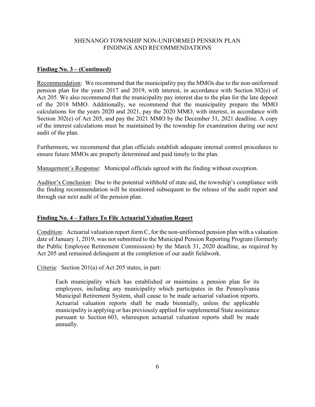#### **Finding No. 3 – (Continued)**

Recommendation: We recommend that the municipality pay the MMOs due to the non-uniformed pension plan for the years 2017 and 2019, with interest, in accordance with Section 302(e) of Act 205. We also recommend that the municipality pay interest due to the plan for the late deposit of the 2018 MMO. Additionally, we recommend that the municipality prepare the MMO calculations for the years 2020 and 2021, pay the 2020 MMO, with interest, in accordance with Section 302(e) of Act 205, and pay the 2021 MMO by the December 31, 2021 deadline. A copy of the interest calculations must be maintained by the township for examination during our next audit of the plan.

Furthermore, we recommend that plan officials establish adequate internal control procedures to ensure future MMOs are properly determined and paid timely to the plan.

Management's Response: Municipal officials agreed with the finding without exception.

Auditor's Conclusion: Due to the potential withhold of state aid, the township's compliance with the finding recommendation will be monitored subsequent to the release of the audit report and through our next audit of the pension plan.

#### **Finding No. 4 – Failure To File Actuarial Valuation Report**

Condition: Actuarial valuation report form C, for the non-uniformed pension plan with a valuation date of January 1, 2019, was not submitted to the Municipal Pension Reporting Program (formerly the Public Employee Retirement Commission) by the March 31, 2020 deadline, as required by Act 205 and remained delinquent at the completion of our audit fieldwork.

Criteria: Section 201(a) of Act 205 states, in part:

Each municipality which has established or maintains a pension plan for its employees, including any municipality which participates in the Pennsylvania Municipal Retirement System, shall cause to be made actuarial valuation reports. Actuarial valuation reports shall be made biennially, unless the applicable municipality is applying or has previously applied for supplemental State assistance pursuant to Section 603, whereupon actuarial valuation reports shall be made annually.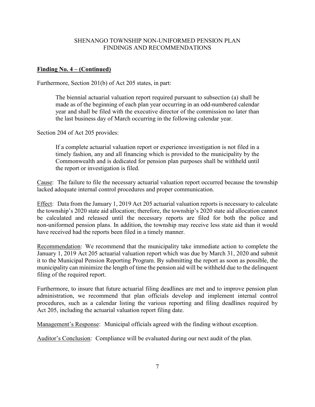#### **Finding No. 4 – (Continued)**

Furthermore, Section 201(b) of Act 205 states, in part:

The biennial actuarial valuation report required pursuant to subsection (a) shall be made as of the beginning of each plan year occurring in an odd-numbered calendar year and shall be filed with the executive director of the commission no later than the last business day of March occurring in the following calendar year.

Section 204 of Act 205 provides:

If a complete actuarial valuation report or experience investigation is not filed in a timely fashion, any and all financing which is provided to the municipality by the Commonwealth and is dedicated for pension plan purposes shall be withheld until the report or investigation is filed.

Cause: The failure to file the necessary actuarial valuation report occurred because the township lacked adequate internal control procedures and proper communication.

Effect: Data from the January 1, 2019 Act 205 actuarial valuation reports is necessary to calculate the township's 2020 state aid allocation; therefore, the township's 2020 state aid allocation cannot be calculated and released until the necessary reports are filed for both the police and non-uniformed pension plans. In addition, the township may receive less state aid than it would have received had the reports been filed in a timely manner.

Recommendation: We recommend that the municipality take immediate action to complete the January 1, 2019 Act 205 actuarial valuation report which was due by March 31, 2020 and submit it to the Municipal Pension Reporting Program. By submitting the report as soon as possible, the municipality can minimize the length of time the pension aid will be withheld due to the delinquent filing of the required report.

Furthermore, to insure that future actuarial filing deadlines are met and to improve pension plan administration, we recommend that plan officials develop and implement internal control procedures, such as a calendar listing the various reporting and filing deadlines required by Act 205, including the actuarial valuation report filing date.

Management's Response: Municipal officials agreed with the finding without exception.

Auditor's Conclusion: Compliance will be evaluated during our next audit of the plan.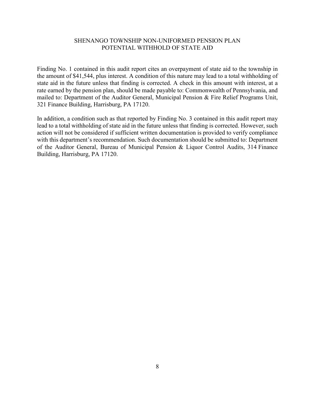#### SHENANGO TOWNSHIP NON-UNIFORMED PENSION PLAN POTENTIAL WITHHOLD OF STATE AID

Finding No. 1 contained in this audit report cites an overpayment of state aid to the township in the amount of \$41,544, plus interest. A condition of this nature may lead to a total withholding of state aid in the future unless that finding is corrected. A check in this amount with interest, at a rate earned by the pension plan, should be made payable to: Commonwealth of Pennsylvania, and mailed to: Department of the Auditor General, Municipal Pension & Fire Relief Programs Unit, 321 Finance Building, Harrisburg, PA 17120.

In addition, a condition such as that reported by Finding No. 3 contained in this audit report may lead to a total withholding of state aid in the future unless that finding is corrected. However, such action will not be considered if sufficient written documentation is provided to verify compliance with this department's recommendation. Such documentation should be submitted to: Department of the Auditor General, Bureau of Municipal Pension & Liquor Control Audits, 314 Finance Building, Harrisburg, PA 17120.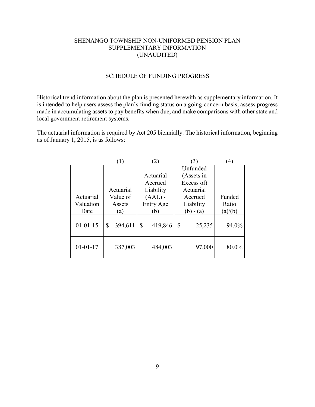#### SHENANGO TOWNSHIP NON-UNIFORMED PENSION PLAN SUPPLEMENTARY INFORMATION (UNAUDITED)

#### SCHEDULE OF FUNDING PROGRESS

Historical trend information about the plan is presented herewith as supplementary information. It is intended to help users assess the plan's funding status on a going-concern basis, assess progress made in accumulating assets to pay benefits when due, and make comparisons with other state and local government retirement systems.

The actuarial information is required by Act 205 biennially. The historical information, beginning as of January 1, 2015, is as follows:

|                | 1)            |               | 3            | 4       |
|----------------|---------------|---------------|--------------|---------|
|                |               |               | Unfunded     |         |
|                |               | Actuarial     | (Assets in   |         |
|                |               | Accrued       | Excess of)   |         |
|                | Actuarial     | Liability     | Actuarial    |         |
| Actuarial      | Value of      | $(AAL)$ -     | Accrued      | Funded  |
| Valuation      | Assets        | Entry Age     | Liability    | Ratio   |
| Date           | (a)           | (b)           | $(b) - (a)$  | (a)/(b) |
| $01 - 01 - 15$ | 394,611<br>\$ | 419,846<br>\$ | \$<br>25,235 | 94.0%   |
| $01 - 01 - 17$ | 387,003       | 484,003       | 97,000       | 80.0%   |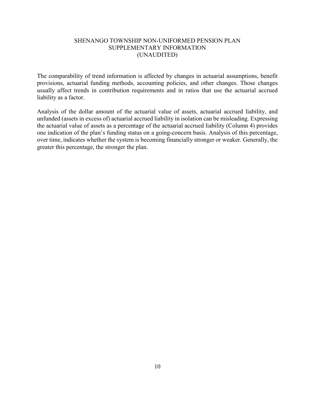#### SHENANGO TOWNSHIP NON-UNIFORMED PENSION PLAN SUPPLEMENTARY INFORMATION (UNAUDITED)

The comparability of trend information is affected by changes in actuarial assumptions, benefit provisions, actuarial funding methods, accounting policies, and other changes. Those changes usually affect trends in contribution requirements and in ratios that use the actuarial accrued liability as a factor.

Analysis of the dollar amount of the actuarial value of assets, actuarial accrued liability, and unfunded (assets in excess of) actuarial accrued liability in isolation can be misleading. Expressing the actuarial value of assets as a percentage of the actuarial accrued liability (Column 4) provides one indication of the plan's funding status on a going-concern basis. Analysis of this percentage, over time, indicates whether the system is becoming financially stronger or weaker. Generally, the greater this percentage, the stronger the plan.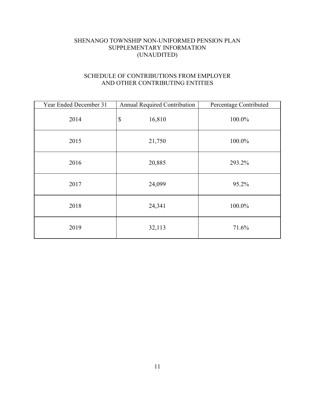## SHENANGO TOWNSHIP NON-UNIFORMED PENSION PLAN SUPPLEMENTARY INFORMATION (UNAUDITED)

## SCHEDULE OF CONTRIBUTIONS FROM EMPLOYER AND OTHER CONTRIBUTING ENTITIES

| Year Ended December 31 | <b>Annual Required Contribution</b> | Percentage Contributed |
|------------------------|-------------------------------------|------------------------|
| 2014                   | $\boldsymbol{\mathsf{S}}$<br>16,810 | 100.0%                 |
| 2015                   | 21,750                              | 100.0%                 |
| 2016                   | 20,885                              | 293.2%                 |
| 2017                   | 24,099                              | 95.2%                  |
| 2018                   | 24,341                              | 100.0%                 |
| 2019                   | 32,113                              | 71.6%                  |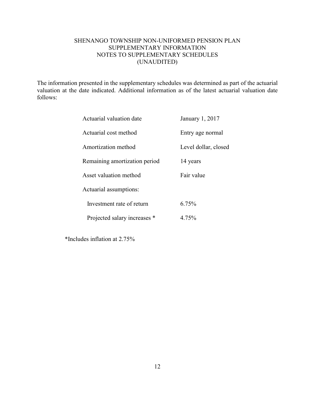### SHENANGO TOWNSHIP NON-UNIFORMED PENSION PLAN SUPPLEMENTARY INFORMATION NOTES TO SUPPLEMENTARY SCHEDULES (UNAUDITED)

The information presented in the supplementary schedules was determined as part of the actuarial valuation at the date indicated. Additional information as of the latest actuarial valuation date follows:

| Actuarial valuation date      | January 1, 2017      |
|-------------------------------|----------------------|
| Actuarial cost method         | Entry age normal     |
| Amortization method           | Level dollar, closed |
| Remaining amortization period | 14 years             |
| Asset valuation method        | Fair value           |
| Actuarial assumptions:        |                      |
| Investment rate of return     | $6.75\%$             |
| Projected salary increases *  | 4.75%                |

\*Includes inflation at 2.75%